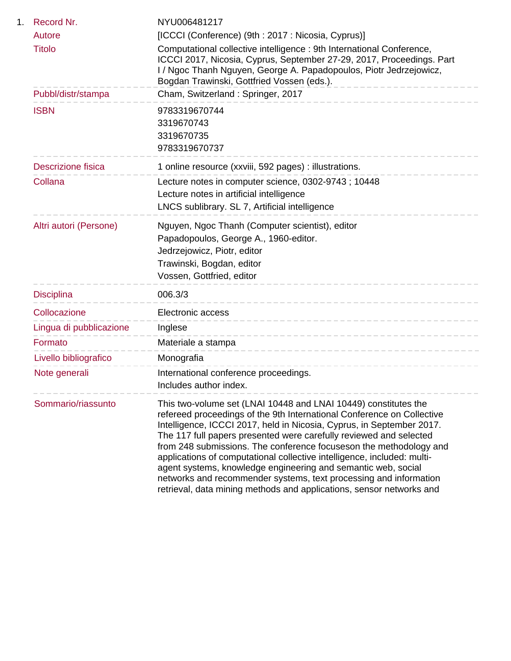| 1. | Record Nr.                | NYU006481217                                                                                                                                                                                                                                                                                                                                                                                                                                                                                                                                                                                                                                            |
|----|---------------------------|---------------------------------------------------------------------------------------------------------------------------------------------------------------------------------------------------------------------------------------------------------------------------------------------------------------------------------------------------------------------------------------------------------------------------------------------------------------------------------------------------------------------------------------------------------------------------------------------------------------------------------------------------------|
|    | Autore                    | [ICCCI (Conference) (9th: 2017: Nicosia, Cyprus)]                                                                                                                                                                                                                                                                                                                                                                                                                                                                                                                                                                                                       |
|    | <b>Titolo</b>             | Computational collective intelligence : 9th International Conference,<br>ICCCI 2017, Nicosia, Cyprus, September 27-29, 2017, Proceedings. Part<br>I / Ngoc Thanh Nguyen, George A. Papadopoulos, Piotr Jedrzejowicz,<br>Bogdan Trawinski, Gottfried Vossen (eds.).                                                                                                                                                                                                                                                                                                                                                                                      |
|    | Pubbl/distr/stampa        | Cham, Switzerland: Springer, 2017                                                                                                                                                                                                                                                                                                                                                                                                                                                                                                                                                                                                                       |
|    | <b>ISBN</b>               | 9783319670744<br>3319670743<br>3319670735<br>9783319670737                                                                                                                                                                                                                                                                                                                                                                                                                                                                                                                                                                                              |
|    | <b>Descrizione fisica</b> | 1 online resource (xxviii, 592 pages) : illustrations.                                                                                                                                                                                                                                                                                                                                                                                                                                                                                                                                                                                                  |
|    | Collana                   | Lecture notes in computer science, 0302-9743; 10448<br>Lecture notes in artificial intelligence<br>LNCS sublibrary. SL 7, Artificial intelligence                                                                                                                                                                                                                                                                                                                                                                                                                                                                                                       |
|    | Altri autori (Persone)    | Nguyen, Ngoc Thanh (Computer scientist), editor<br>Papadopoulos, George A., 1960-editor.<br>Jedrzejowicz, Piotr, editor<br>Trawinski, Bogdan, editor<br>Vossen, Gottfried, editor                                                                                                                                                                                                                                                                                                                                                                                                                                                                       |
|    | <b>Disciplina</b>         | 006.3/3<br>---------------------                                                                                                                                                                                                                                                                                                                                                                                                                                                                                                                                                                                                                        |
|    | Collocazione              | Electronic access                                                                                                                                                                                                                                                                                                                                                                                                                                                                                                                                                                                                                                       |
|    | Lingua di pubblicazione   | Inglese                                                                                                                                                                                                                                                                                                                                                                                                                                                                                                                                                                                                                                                 |
|    | Formato                   | ---------------------<br>Materiale a stampa                                                                                                                                                                                                                                                                                                                                                                                                                                                                                                                                                                                                             |
|    | Livello bibliografico     | Monografia                                                                                                                                                                                                                                                                                                                                                                                                                                                                                                                                                                                                                                              |
|    | Note generali             | International conference proceedings.<br>Includes author index.                                                                                                                                                                                                                                                                                                                                                                                                                                                                                                                                                                                         |
|    | Sommario/riassunto        | This two-volume set (LNAI 10448 and LNAI 10449) constitutes the<br>refereed proceedings of the 9th International Conference on Collective<br>Intelligence, ICCCI 2017, held in Nicosia, Cyprus, in September 2017.<br>The 117 full papers presented were carefully reviewed and selected<br>from 248 submissions. The conference focuseson the methodology and<br>applications of computational collective intelligence, included: multi-<br>agent systems, knowledge engineering and semantic web, social<br>networks and recommender systems, text processing and information<br>retrieval, data mining methods and applications, sensor networks and |